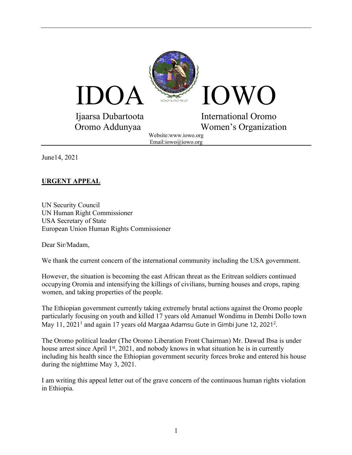

Ijaarsa Dubartoota International Oromo Oromo Addunyaa Women's Organization

> Website:www.iowo.org Email:iowo@iowo.org

June14, 2021

## **URGENT APPEAL**

UN Security Council UN Human Right Commissioner USA Secretary of State European Union Human Rights Commissioner

Dear Sir/Madam,

We thank the current concern of the international community including the USA government.

However, the situation is becoming the east African threat as the Eritrean soldiers continued occupying Oromia and intensifying the killings of civilians, burning houses and crops, raping women, and taking properties of the people.

The Ethiopian government currently taking extremely brutal actions against the Oromo people particularly focusing on youth and killed 17 years old Amanuel Wondimu in Dembi Dollo town May  $11, 2021<sup>1</sup>$  and again 17 years old Margaa Adamsu Gute in Gimbi June 12, 2021<sup>2</sup>.

The Oromo political leader (The Oromo Liberation Front Chairman) Mr. Dawud Ibsa is under house arrest since April 1<sup>st</sup>, 2021, and nobody knows in what situation he is in currently including his health since the Ethiopian government security forces broke and entered his house during the nighttime May 3, 2021.

I am writing this appeal letter out of the grave concern of the continuous human rights violation in Ethiopia.